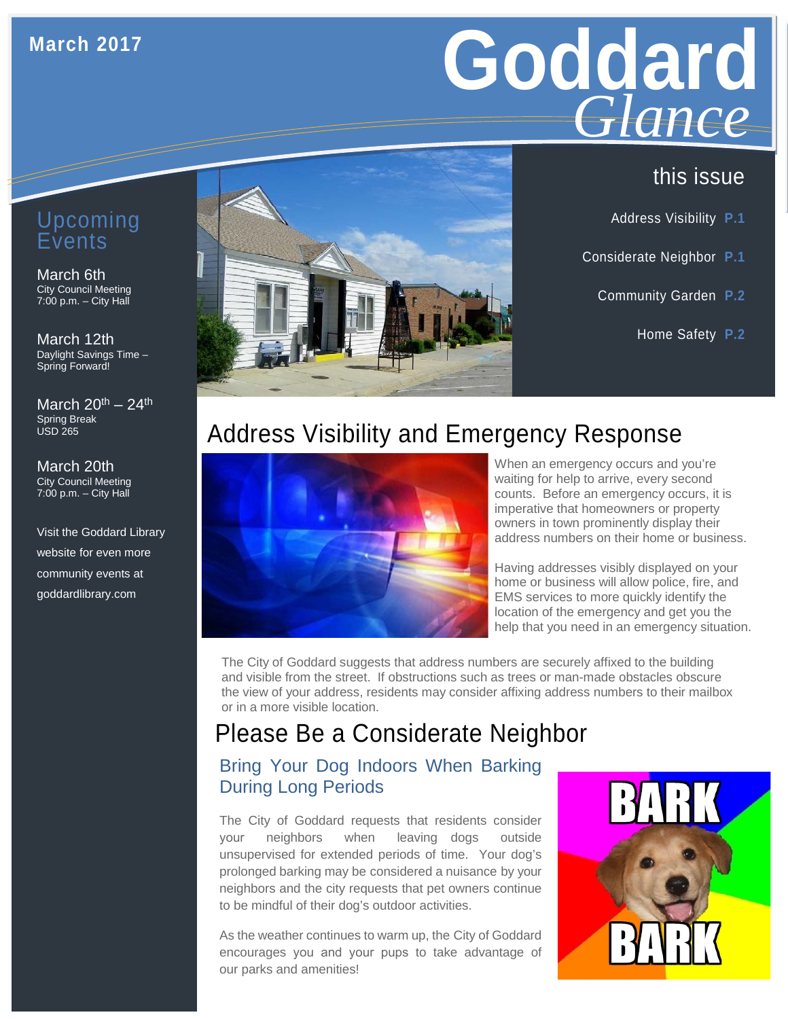#### **March 2017**

# Goddard *Glance*

### this issue

- Address Visibility **P.1**
- Considerate Neighbor **P.1**
	- Community Garden **P.2**
		- Home Safety **P.2**

## Address Visibility and Emergency Response



When an emergency occurs and you're waiting for help to arrive, every second counts. Before an emergency occurs, it is imperative that homeowners or property owners in town prominently display their address numbers on their home or business.

Having addresses visibly displayed on your home or business will allow police, fire, and EMS services to more quickly identify the location of the emergency and get you the help that you need in an emergency situation.

The City of Goddard suggests that address numbers are securely affixed to the building and visible from the street. If obstructions such as trees or man-made obstacles obscure the view of your address, residents may consider affixing address numbers to their mailbox or in a more visible location.

## Please Be a Considerate Neighbor

#### Bring Your Dog Indoors When Barking During Long Periods

The City of Goddard requests that residents consider your neighbors when leaving dogs outside unsupervised for extended periods of time. Your dog's prolonged barking may be considered a nuisance by your neighbors and the city requests that pet owners continue to be mindful of their dog's outdoor activities.

As the weather continues to warm up, the City of Goddard encourages you and your pups to take advantage of our parks and amenities!



#### Upcoming Events

#### March 6th City Council Meeting 7:00 p.m. – City Hall

March 12th Daylight Savings Time – Spring Forward!

March  $20^{th}$  –  $24^{th}$ Spring Break USD 265

March 20th City Council Meeting 7:00 p.m. – City Hall

Visit the Goddard Library website for even more community events at goddardlibrary.com